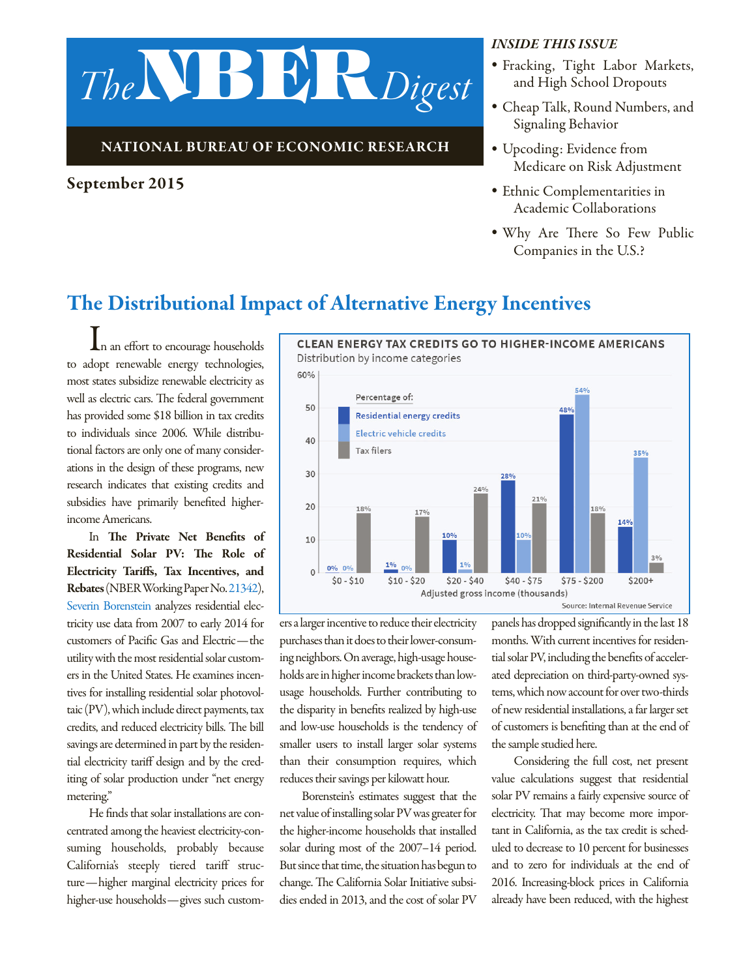

### National Bureau of Economic Research

### September 2015

#### *Inside this issue*

- *•* Fracking, Tight Labor Markets, and High School Dropouts
- *•* Cheap Talk, Round Numbers, and Signaling Behavior
- *•* Upcoding: Evidence from Medicare on Risk Adjustment
- *•* Ethnic Complementarities in Academic Collaborations
- *•* Why Are There So Few Public Companies in the U.S.?

## The Distributional Impact of Alternative Energy Incentives

In an effort to encourage households to adopt renewable energy technologies, most states subsidize renewable electricity as well as electric cars. The federal government has provided some \$18 billion in tax credits to individuals since 2006. While distributional factors are only one of many considerations in the design of these programs, new research indicates that existing credits and subsidies have primarily benefited higherincome Americans.

In The Private Net Benefits of Residential Solar PV: The Role of Electricity Tariffs, Tax Incentives, and Rebates (NBER Working Paper No. [21342\)](http://www.nber.org/papers/w21342), [Severin Borenstein](http://www.nber.org/people/Severin_Borenstein) analyzes residential electricity use data from 2007 to early 2014 for customers of Pacific Gas and Electric—the utility with the most residential solar customers in the United States. He examines incentives for installing residential solar photovoltaic (PV), which include direct payments, tax credits, and reduced electricity bills. The bill savings are determined in part by the residential electricity tariff design and by the crediting of solar production under "net energy metering."

He finds that solar installations are concentrated among the heaviest electricity-consuming households, probably because California's steeply tiered tariff structure—higher marginal electricity prices for higher-use households—gives such custom-



ers a larger incentive to reduce their electricity purchases than it does to their lower-consuming neighbors. On average, high-usage households are in higher income brackets than lowusage households. Further contributing to the disparity in benefits realized by high-use and low-use households is the tendency of smaller users to install larger solar systems than their consumption requires, which reduces their savings per kilowatt hour.

Borenstein's estimates suggest that the net value of installing solar PV was greater for the higher-income households that installed solar during most of the 2007–14 period. But since that time, the situation has begun to change. The California Solar Initiative subsidies ended in 2013, and the cost of solar PV panels has dropped significantly in the last 18 months. With current incentives for residential solar PV, including the benefits of accelerated depreciation on third-party-owned systems, which now account for over two-thirds of new residential installations, a far larger set of customers is benefiting than at the end of the sample studied here.

Considering the full cost, net present value calculations suggest that residential solar PV remains a fairly expensive source of electricity. That may become more important in California, as the tax credit is scheduled to decrease to 10 percent for businesses and to zero for individuals at the end of 2016. Increasing-block prices in California already have been reduced, with the highest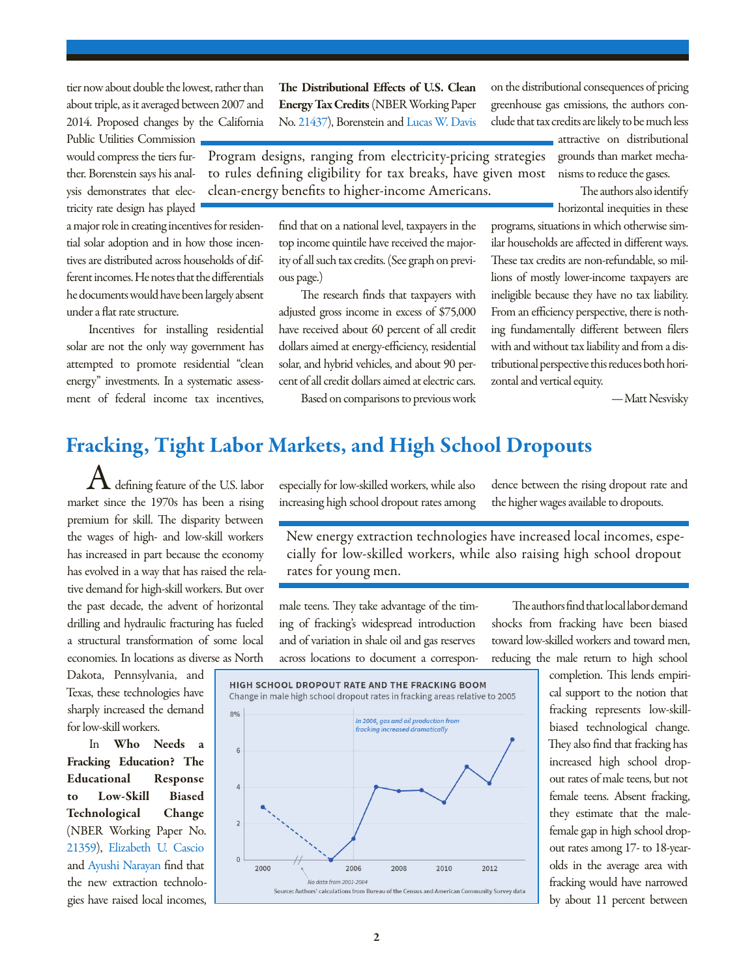tier now about double the lowest, rather than about triple, as it averaged between 2007 and 2014. Proposed changes by the California

Public Utilities Commission would compress the tiers further. Borenstein says his analysis demonstrates that electricity rate design has played

a major role in creating incentives for residential solar adoption and in how those incentives are distributed across households of different incomes. He notes that the differentials he documents would have been largely absent under a flat rate structure.

Incentives for installing residential solar are not the only way government has attempted to promote residential "clean energy" investments. In a systematic assessment of federal income tax incentives,

The Distributional Effects of U.S. Clean Energy Tax Credits (NBER Working Paper No. [21437](http://www.nber.org/papers/w21437)), Borenstein and [Lucas W. Davis](http://www.nber.org/people/lucas_davis)

Program designs, ranging from electricity-pricing strategies to rules defining eligibility for tax breaks, have given most clean-energy benefits to higher-income Americans.

> find that on a national level, taxpayers in the top income quintile have received the majority of all such tax credits. (See graph on previous page.)

> The research finds that taxpayers with adjusted gross income in excess of \$75,000 have received about 60 percent of all credit dollars aimed at energy-efficiency, residential solar, and hybrid vehicles, and about 90 percent of all credit dollars aimed at electric cars.

Based on comparisons to previous work

on the distributional consequences of pricing greenhouse gas emissions, the authors conclude that tax credits are likely to be much less

> attractive on distributional grounds than market mechanisms to reduce the gases.

The authors also identify horizontal inequities in these

programs, situations in which otherwise similar households are affected in different ways. These tax credits are non-refundable, so millions of mostly lower-income taxpayers are ineligible because they have no tax liability. From an efficiency perspective, there is nothing fundamentally different between filers with and without tax liability and from a distributional perspective this reduces both horizontal and vertical equity.

—Matt Nesvisky

## Fracking, Tight Labor Markets, and High School Dropouts

defining feature of the U.S. labor market since the 1970s has been a rising premium for skill. The disparity between the wages of high- and low-skill workers has increased in part because the economy has evolved in a way that has raised the relative demand for high-skill workers. But over the past decade, the advent of horizontal drilling and hydraulic fracturing has fueled a structural transformation of some local economies. In locations as diverse as North

Dakota, Pennsylvania, and Texas, these technologies have sharply increased the demand for low-skill workers.

In Who Needs a Fracking Education? The Educational Response to Low-Skill Biased Technological Change (NBER Working Paper No. [21359\)](http://www.nber.org/papers/w21359), [Elizabeth U. Cascio](http://www.nber.org/people/elizabeth_cascio) and [Ayushi Narayan](http://www.nber.org/people/ayushi) find that the new extraction technologies have raised local incomes,

especially for low-skilled workers, while also increasing high school dropout rates among dence between the rising dropout rate and the higher wages available to dropouts.

New energy extraction technologies have increased local incomes, especially for low-skilled workers, while also raising high school dropout rates for young men.

male teens. They take advantage of the timing of fracking's widespread introduction and of variation in shale oil and gas reserves across locations to document a correspon-

The authors find that local labor demand shocks from fracking have been biased toward low-skilled workers and toward men, reducing the male return to high school

> completion. This lends empirical support to the notion that fracking represents low-skillbiased technological change. They also find that fracking has increased high school dropout rates of male teens, but not female teens. Absent fracking, they estimate that the malefemale gap in high school dropout rates among 17- to 18-yearolds in the average area with fracking would have narrowed by about 11 percent between

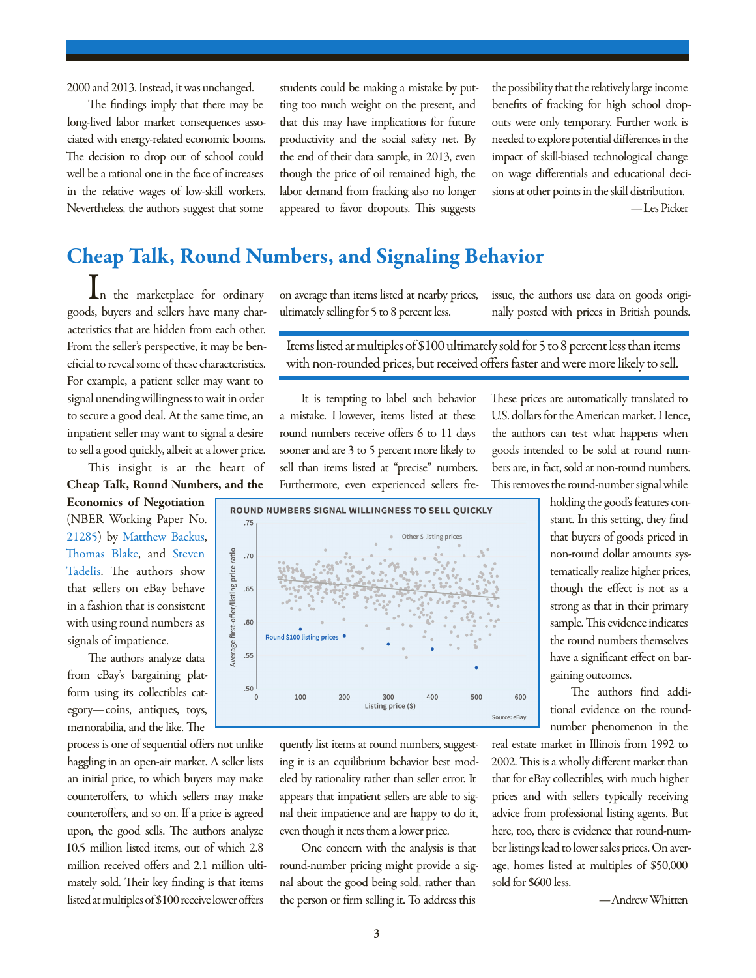2000 and 2013. Instead, it was unchanged.

The findings imply that there may be long-lived labor market consequences associated with energy-related economic booms. The decision to drop out of school could well be a rational one in the face of increases in the relative wages of low-skill workers. Nevertheless, the authors suggest that some

students could be making a mistake by putting too much weight on the present, and that this may have implications for future productivity and the social safety net. By the end of their data sample, in 2013, even though the price of oil remained high, the labor demand from fracking also no longer appeared to favor dropouts. This suggests

the possibility that the relatively large income benefits of fracking for high school dropouts were only temporary. Further work is needed to explore potential differences in the impact of skill-biased technological change on wage differentials and educational decisions at other points in the skill distribution. —Les Picker

# Cheap Talk, Round Numbers, and Signaling Behavior

In the marketplace for ordinary goods, buyers and sellers have many characteristics that are hidden from each other. From the seller's perspective, it may be beneficial to reveal some of these characteristics. For example, a patient seller may want to signal unending willingness to wait in order to secure a good deal. At the same time, an impatient seller may want to signal a desire to sell a good quickly, albeit at a lower price.

This insight is at the heart of Cheap Talk, Round Numbers, and the

Economics of Negotiation (NBER Working Paper No. [21285](http://www.nber.org/papers/w21285)) by [Matthew Backus,](http://www.nber.org/people/Matthew_Backus) [Thomas Blake](http://www.nber.org/people/Thomas_Blake), and [Steven](http://www.nber.org/people/Steven_Tadelis) [Tadelis.](http://www.nber.org/people/Steven_Tadelis) The authors show that sellers on eBay behave in a fashion that is consistent with using round numbers as signals of impatience.

The authors analyze data from eBay's bargaining platform using its collectibles category—coins, antiques, toys, memorabilia, and the like. The

process is one of sequential offers not unlike haggling in an open-air market. A seller lists an initial price, to which buyers may make counteroffers, to which sellers may make counteroffers, and so on. If a price is agreed upon, the good sells. The authors analyze 10.5 million listed items, out of which 2.8 million received offers and 2.1 million ultimately sold. Their key finding is that items listed at multiples of \$100 receive lower offers

on average than items listed at nearby prices, ultimately selling for 5 to 8 percent less.

issue, the authors use data on goods originally posted with prices in British pounds.

Items listed at multiples of \$100 ultimately sold for 5 to 8 percent less than items with non-rounded prices, but received offers faster and were more likely to sell.

It is tempting to label such behavior a mistake. However, items listed at these round numbers receive offers 6 to 11 days sooner and are 3 to 5 percent more likely to sell than items listed at "precise" numbers. Furthermore, even experienced sellers freThese prices are automatically translated to U.S. dollars for the American market. Hence, the authors can test what happens when goods intended to be sold at round numbers are, in fact, sold at non-round numbers. This removes the round-number signal while



quently list items at round numbers, suggesting it is an equilibrium behavior best modeled by rationality rather than seller error. It appears that impatient sellers are able to signal their impatience and are happy to do it, even though it nets them a lower price.

One concern with the analysis is that round-number pricing might provide a signal about the good being sold, rather than the person or firm selling it. To address this

holding the good's features constant. In this setting, they find that buyers of goods priced in non-round dollar amounts systematically realize higher prices, though the effect is not as a strong as that in their primary sample. This evidence indicates the round numbers themselves have a significant effect on bargaining outcomes.

The authors find additional evidence on the roundnumber phenomenon in the

real estate market in Illinois from 1992 to 2002. This is a wholly different market than that for eBay collectibles, with much higher prices and with sellers typically receiving advice from professional listing agents. But here, too, there is evidence that round-number listings lead to lower sales prices. On average, homes listed at multiples of \$50,000 sold for \$600 less.

—Andrew Whitten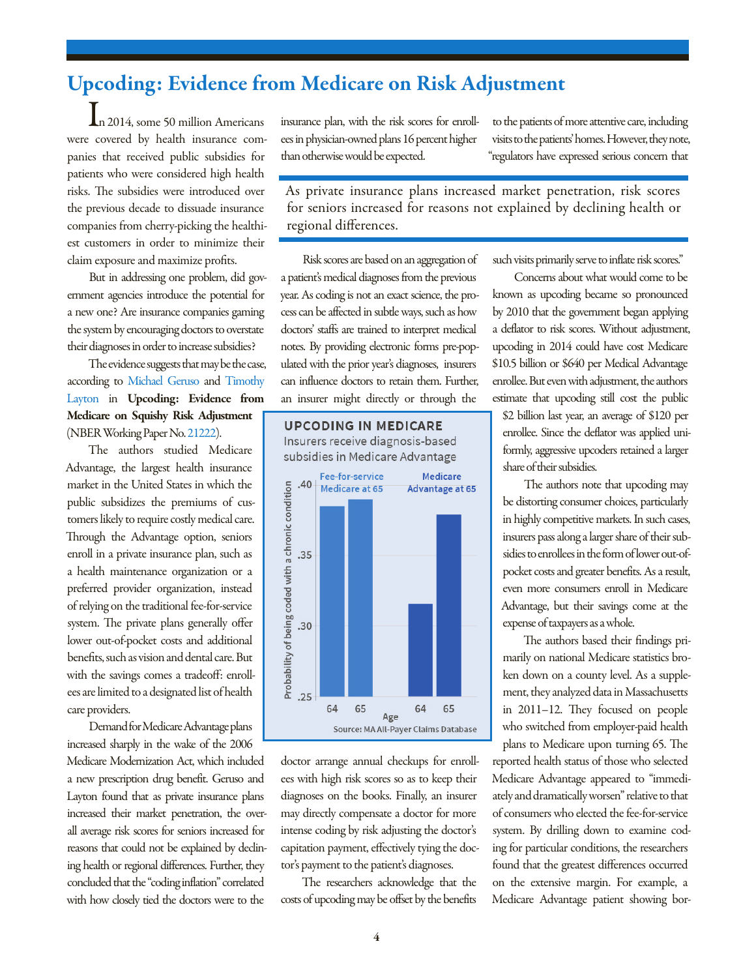# Upcoding: Evidence from Medicare on Risk Adjustment

In 2014, some 50 million Americans were covered by health insurance companies that received public subsidies for patients who were considered high health risks. The subsidies were introduced over the previous decade to dissuade insurance companies from cherry-picking the healthiest customers in order to minimize their claim exposure and maximize profits.

But in addressing one problem, did government agencies introduce the potential for a new one? Are insurance companies gaming the system by encouraging doctors to overstate their diagnoses in order to increase subsidies?

The evidence suggests that may be the case, according to [Michael Geruso](http://www.nber.org/people/michael_geruso) and [Timothy](http://www.nber.org/people/timothy_layton)  [Layton](http://www.nber.org/people/timothy_layton) in Upcoding: Evidence from Medicare on Squishy Risk Adjustment (NBER Working Paper No. [21222\)](http://www.nber.org/papers/w21222).

The authors studied Medicare Advantage, the largest health insurance market in the United States in which the public subsidizes the premiums of customers likely to require costly medical care. Through the Advantage option, seniors enroll in a private insurance plan, such as a health maintenance organization or a preferred provider organization, instead of relying on the traditional fee-for-service system. The private plans generally offer lower out-of-pocket costs and additional benefits, such as vision and dental care. But with the savings comes a tradeoff: enrollees are limited to a designated list of health care providers.

Demand for Medicare Advantage plans increased sharply in the wake of the 2006 Medicare Modernization Act, which included a new prescription drug benefit. Geruso and Layton found that as private insurance plans increased their market penetration, the overall average risk scores for seniors increased for reasons that could not be explained by declining health or regional differences. Further, they concluded that the "coding inflation" correlated with how closely tied the doctors were to the

insurance plan, with the risk scores for enrollees in physician-owned plans 16 percent higher than otherwise would be expected.

to the patients of more attentive care, including visits to the patients' homes. However, they note, "regulators have expressed serious concern that

As private insurance plans increased market penetration, risk scores for seniors increased for reasons not explained by declining health or regional differences.

Risk scores are based on an aggregation of a patient's medical diagnoses from the previous year. As coding is not an exact science, the process can be affected in subtle ways, such as how doctors' staffs are trained to interpret medical notes. By providing electronic forms pre-populated with the prior year's diagnoses, insurers can influence doctors to retain them. Further, an insurer might directly or through the

**UPCODING IN MEDICARE** Insurers receive diagnosis-based subsidies in Medicare Advantage



doctor arrange annual checkups for enrollees with high risk scores so as to keep their diagnoses on the books. Finally, an insurer may directly compensate a doctor for more intense coding by risk adjusting the doctor's capitation payment, effectively tying the doctor's payment to the patient's diagnoses.

The researchers acknowledge that the costs of upcoding may be offset by the benefits such visits primarily serve to inflate risk scores."

Concerns about what would come to be known as upcoding became so pronounced by 2010 that the government began applying a deflator to risk scores. Without adjustment, upcoding in 2014 could have cost Medicare \$10.5 billion or \$640 per Medical Advantage enrollee. But even with adjustment, the authors estimate that upcoding still cost the public

\$2 billion last year, an average of \$120 per enrollee. Since the deflator was applied uniformly, aggressive upcoders retained a larger share of their subsidies.

The authors note that upcoding may be distorting consumer choices, particularly in highly competitive markets. In such cases, insurers pass along a larger share of their subsidies to enrollees in the form of lower out-ofpocket costs and greater benefits. As a result, even more consumers enroll in Medicare Advantage, but their savings come at the expense of taxpayers as a whole.

The authors based their findings primarily on national Medicare statistics broken down on a county level. As a supplement, they analyzed data in Massachusetts in 2011–12. They focused on people who switched from employer-paid health plans to Medicare upon turning 65. The

reported health status of those who selected Medicare Advantage appeared to "immediately and dramatically worsen" relative to that of consumers who elected the fee-for-service system. By drilling down to examine coding for particular conditions, the researchers found that the greatest differences occurred on the extensive margin. For example, a Medicare Advantage patient showing bor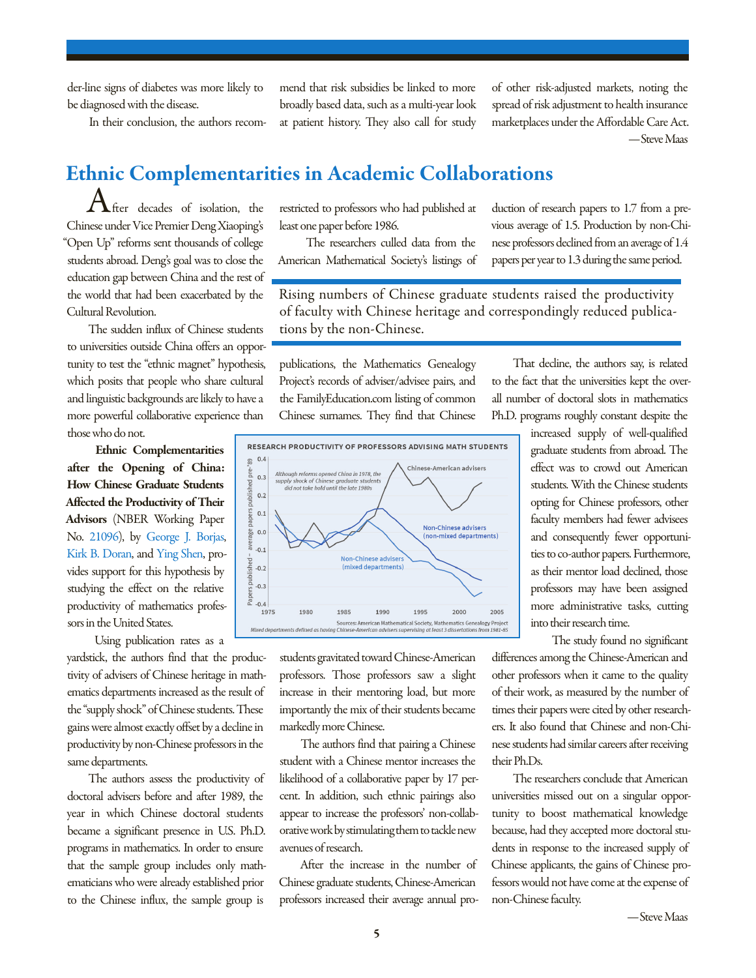der-line signs of diabetes was more likely to be diagnosed with the disease.

In their conclusion, the authors recom-

mend that risk subsidies be linked to more broadly based data, such as a multi-year look at patient history. They also call for study of other risk-adjusted markets, noting the spread of risk adjustment to health insurance marketplaces under the Affordable Care Act. —Steve Maas

# Ethnic Complementarities in Academic Collaborations

## $\bigwedge$ fter decades of isolation, the Chinese under Vice Premier Deng Xiaoping's "Open Up" reforms sent thousands of college students abroad. Deng's goal was to close the education gap between China and the rest of the world that had been exacerbated by the Cultural Revolution.

The sudden influx of Chinese students to universities outside China offers an opportunity to test the "ethnic magnet" hypothesis, which posits that people who share cultural and linguistic backgrounds are likely to have a more powerful collaborative experience than those who do not.

Ethnic Complementarities after the Opening of China: How Chinese Graduate Students Affected the Productivity of Their Advisors (NBER Working Paper No. [21096\)](http://www.nber.org/papers/w21096), by [George J. Borjas](http://www.nber.org/people/George_Borjas), [Kirk B. Doran,](http://www.nber.org/people/Kirk_Doran) and [Ying Shen,](http://www.nber.org/people/Ying_Shen) provides support for this hypothesis by studying the effect on the relative productivity of mathematics professors in the United States.

Using publication rates as a

yardstick, the authors find that the productivity of advisers of Chinese heritage in mathematics departments increased as the result of the "supply shock" of Chinese students. These gains were almost exactly offset by a decline in productivity by non-Chinese professors in the same departments.

The authors assess the productivity of doctoral advisers before and after 1989, the year in which Chinese doctoral students became a significant presence in U.S. Ph.D. programs in mathematics. In order to ensure that the sample group includes only mathematicians who were already established prior to the Chinese influx, the sample group is

restricted to professors who had published at least one paper before 1986.

 The researchers culled data from the American Mathematical Society's listings of duction of research papers to 1.7 from a previous average of 1.5. Production by non-Chinese professors declined from an average of 1.4 papers per year to 1.3 during the same period.

Rising numbers of Chinese graduate students raised the productivity of faculty with Chinese heritage and correspondingly reduced publications by the non-Chinese.

publications, the Mathematics Genealogy Project's records of adviser/advisee pairs, and the FamilyEducation.com listing of common Chinese surnames. They find that Chinese



students gravitated toward Chinese-American professors. Those professors saw a slight increase in their mentoring load, but more importantly the mix of their students became markedly more Chinese.

The authors find that pairing a Chinese student with a Chinese mentor increases the likelihood of a collaborative paper by 17 percent. In addition, such ethnic pairings also appear to increase the professors' non-collaborative work by stimulating them to tackle new avenues of research.

After the increase in the number of Chinese graduate students, Chinese-American professors increased their average annual pro-

That decline, the authors say, is related to the fact that the universities kept the overall number of doctoral slots in mathematics Ph.D. programs roughly constant despite the

> increased supply of well-qualified graduate students from abroad. The effect was to crowd out American students. With the Chinese students opting for Chinese professors, other faculty members had fewer advisees and consequently fewer opportunities to co-author papers. Furthermore, as their mentor load declined, those professors may have been assigned more administrative tasks, cutting into their research time.

The study found no significant differences among the Chinese-American and other professors when it came to the quality of their work, as measured by the number of times their papers were cited by other researchers. It also found that Chinese and non-Chinese students had similar careers after receiving their Ph.Ds.

The researchers conclude that American universities missed out on a singular opportunity to boost mathematical knowledge because, had they accepted more doctoral students in response to the increased supply of Chinese applicants, the gains of Chinese professors would not have come at the expense of non-Chinese faculty.